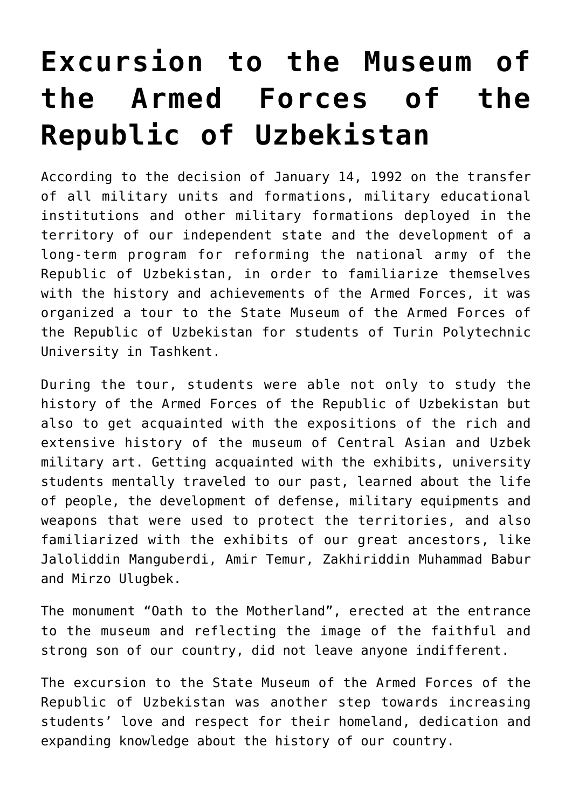## **[Excursion to the Museum of](https://polito.uz/6124/) [the Armed Forces of the](https://polito.uz/6124/) [Republic of Uzbekistan](https://polito.uz/6124/)**

According to the decision of January 14, 1992 on the transfer of all military units and formations, military educational institutions and other military formations deployed in the territory of our independent state and the development of a long-term program for reforming the national army of the Republic of Uzbekistan, in order to familiarize themselves with the history and achievements of the Armed Forces, it was organized a tour to the State Museum of the Armed Forces of the Republic of Uzbekistan for students of Turin Polytechnic University in Tashkent.

During the tour, students were able not only to study the history of the Armed Forces of the Republic of Uzbekistan but also to get acquainted with the expositions of the rich and extensive history of the museum of Central Asian and Uzbek military art. Getting acquainted with the exhibits, university students mentally traveled to our past, learned about the life of people, the development of defense, military equipments and weapons that were used to protect the territories, and also familiarized with the exhibits of our great ancestors, like Jaloliddin Manguberdi, Amir Temur, Zakhiriddin Muhammad Babur and Mirzo Ulugbek.

The monument "Oath to the Motherland", erected at the entrance to the museum and reflecting the image of the faithful and strong son of our country, did not leave anyone indifferent.

The excursion to the State Museum of the Armed Forces of the Republic of Uzbekistan was another step towards increasing students' love and respect for their homeland, dedication and expanding knowledge about the history of our country.